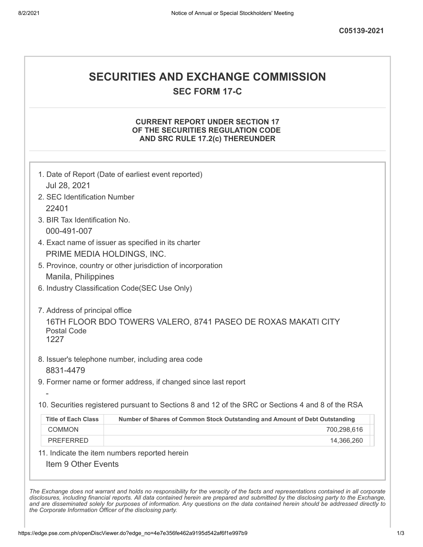# **SECURITIES AND EXCHANGE COMMISSION**

**SEC FORM 17-C**

### **CURRENT REPORT UNDER SECTION 17 OF THE SECURITIES REGULATION CODE AND SRC RULE 17.2(c) THEREUNDER**

|                                               | 1. Date of Report (Date of earliest event reported)                                                                |  |
|-----------------------------------------------|--------------------------------------------------------------------------------------------------------------------|--|
| Jul 28, 2021                                  |                                                                                                                    |  |
| 2. SEC Identification Number                  |                                                                                                                    |  |
| 22401                                         |                                                                                                                    |  |
| 3. BIR Tax Identification No.                 |                                                                                                                    |  |
| 000-491-007                                   |                                                                                                                    |  |
|                                               | 4. Exact name of issuer as specified in its charter                                                                |  |
|                                               | PRIME MEDIA HOLDINGS, INC.                                                                                         |  |
|                                               | 5. Province, country or other jurisdiction of incorporation                                                        |  |
| Manila, Philippines                           |                                                                                                                    |  |
| 6. Industry Classification Code(SEC Use Only) |                                                                                                                    |  |
| <b>Postal Code</b><br>1227                    | 16TH FLOOR BDO TOWERS VALERO, 8741 PASEO DE ROXAS MAKATI CITY<br>8. Issuer's telephone number, including area code |  |
| 8831-4479                                     |                                                                                                                    |  |
|                                               | 9. Former name or former address, if changed since last report                                                     |  |
|                                               |                                                                                                                    |  |
|                                               | 10. Securities registered pursuant to Sections 8 and 12 of the SRC or Sections 4 and 8 of the RSA                  |  |
| <b>Title of Each Class</b>                    | Number of Shares of Common Stock Outstanding and Amount of Debt Outstanding                                        |  |
| <b>COMMON</b>                                 | 700,298,616                                                                                                        |  |
| <b>PREFERRED</b>                              | 14,366,260                                                                                                         |  |
|                                               | 11. Indicate the item numbers reported herein                                                                      |  |
| Item 9 Other Events                           |                                                                                                                    |  |
|                                               |                                                                                                                    |  |

The Exchange does not warrant and holds no responsibility for the veracity of the facts and representations contained in all corporate disclosures, including financial reports. All data contained herein are prepared and submitted by the disclosing party to the Exchange, and are disseminated solely for purposes of information. Any questions on the data contained herein should be addressed directly to *the Corporate Information Officer of the disclosing party.*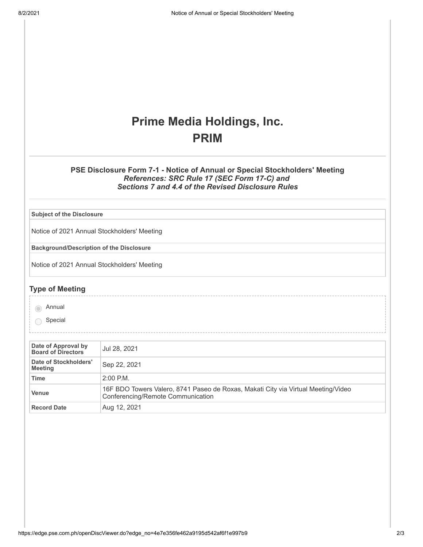# **Prime Media Holdings, Inc. PRIM**

### **PSE Disclosure Form 7-1 - Notice of Annual or Special Stockholders' Meeting** *References: SRC Rule 17 (SEC Form 17-C) and Sections 7 and 4.4 of the Revised Disclosure Rules*

**Subject of the Disclosure**

Notice of 2021 Annual Stockholders' Meeting

**Background/Description of the Disclosure**

Notice of 2021 Annual Stockholders' Meeting

#### **Type of Meeting**

annual

Special

| Date of Approval by<br><b>Board of Directors</b> | Jul 28, 2021                                                                                                           |  |
|--------------------------------------------------|------------------------------------------------------------------------------------------------------------------------|--|
| Date of Stockholders'<br><b>Meeting</b>          | Sep 22, 2021                                                                                                           |  |
| Time                                             | $2:00$ P.M.                                                                                                            |  |
| Venue                                            | 16F BDO Towers Valero, 8741 Paseo de Roxas, Makati City via Virtual Meeting/Video<br>Conferencing/Remote Communication |  |
| <b>Record Date</b>                               | Aug 12, 2021                                                                                                           |  |